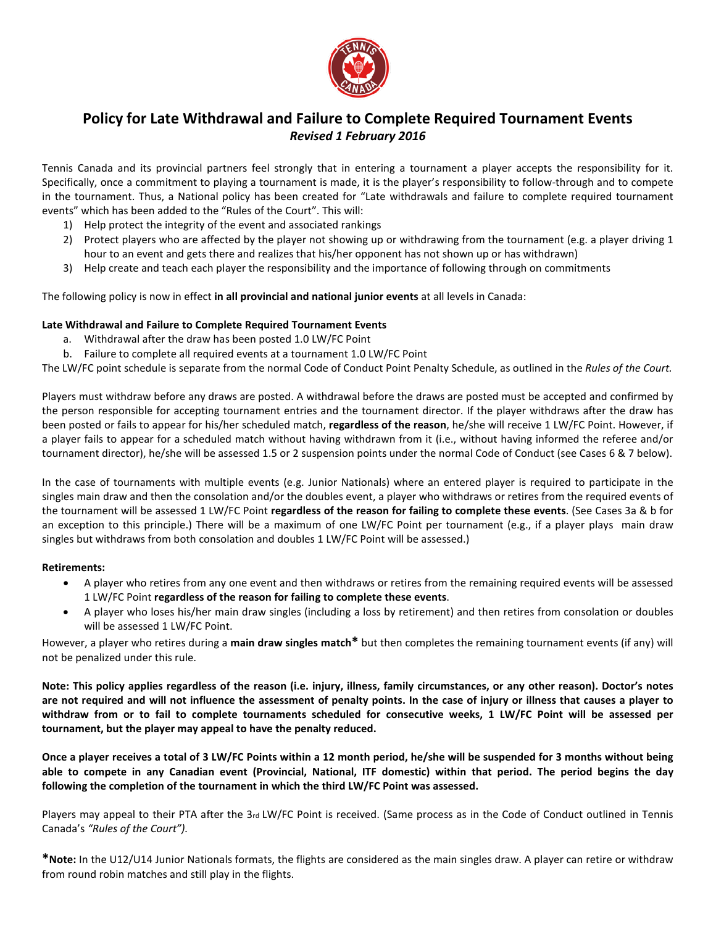

## **Policy for Late Withdrawal and Failure to Complete Required Tournament Events** *Revised 1 February 2016*

Tennis Canada and its provincial partners feel strongly that in entering a tournament a player accepts the responsibility for it. Specifically, once a commitment to playing a tournament is made, it is the player's responsibility to follow-through and to compete in the tournament. Thus, a National policy has been created for "Late withdrawals and failure to complete required tournament events" which has been added to the "Rules of the Court". This will:

- 1) Help protect the integrity of the event and associated rankings
- 2) Protect players who are affected by the player not showing up or withdrawing from the tournament (e.g. a player driving 1 hour to an event and gets there and realizes that his/her opponent has not shown up or has withdrawn)
- 3) Help create and teach each player the responsibility and the importance of following through on commitments

The following policy is now in effect **in all provincial and national junior events** at all levels in Canada:

## **Late Withdrawal and Failure to Complete Required Tournament Events**

- a. Withdrawal after the draw has been posted 1.0 LW/FC Point
- b. Failure to complete all required events at a tournament 1.0 LW/FC Point

The LW/FC point schedule is separate from the normal Code of Conduct Point Penalty Schedule, as outlined in the *Rules of the Court.*

Players must withdraw before any draws are posted. A withdrawal before the draws are posted must be accepted and confirmed by the person responsible for accepting tournament entries and the tournament director. If the player withdraws after the draw has been posted or fails to appear for his/her scheduled match, **regardless of the reason**, he/she will receive 1 LW/FC Point. However, if a player fails to appear for a scheduled match without having withdrawn from it (i.e., without having informed the referee and/or tournament director), he/she will be assessed 1.5 or 2 suspension points under the normal Code of Conduct (see Cases 6 & 7 below).

In the case of tournaments with multiple events (e.g. Junior Nationals) where an entered player is required to participate in the singles main draw and then the consolation and/or the doubles event, a player who withdraws or retires from the required events of the tournament will be assessed 1 LW/FC Point **regardless of the reason for failing to complete these events**. (See Cases 3a & b for an exception to this principle.) There will be a maximum of one LW/FC Point per tournament (e.g., if a player plays main draw singles but withdraws from both consolation and doubles 1 LW/FC Point will be assessed.)

## **Retirements:**

- A player who retires from any one event and then withdraws or retires from the remaining required events will be assessed 1 LW/FC Point **regardless of the reason for failing to complete these events**.
- A player who loses his/her main draw singles (including a loss by retirement) and then retires from consolation or doubles will be assessed 1 LW/FC Point.

However, a player who retires during a **main draw singles match\*** but then completes the remaining tournament events (if any) will not be penalized under this rule.

**Note: This policy applies regardless of the reason (i.e. injury, illness, family circumstances, or any other reason). Doctor's notes are not required and will not influence the assessment of penalty points. In the case of injury or illness that causes a player to withdraw from or to fail to complete tournaments scheduled for consecutive weeks, 1 LW/FC Point will be assessed per tournament, but the player may appeal to have the penalty reduced.**

**Once a player receives a total of 3 LW/FC Points within a 12 month period, he/she will be suspended for 3 months without being able to compete in any Canadian event (Provincial, National, ITF domestic) within that period. The period begins the day following the completion of the tournament in which the third LW/FC Point was assessed.** 

Players may appeal to their PTA after the 3rd LW/FC Point is received. (Same process as in the Code of Conduct outlined in Tennis Canada's *"Rules of the Court").*

**\*Note:** In the U12/U14 Junior Nationals formats, the flights are considered as the main singles draw. A player can retire or withdraw from round robin matches and still play in the flights.